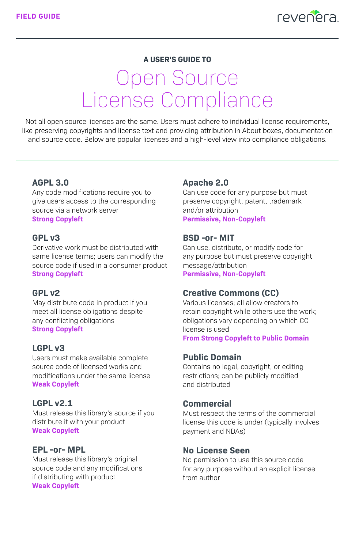

### **A USER'S GUIDE TO**

# Open Source License Compliance

Not all open source licenses are the same. Users must adhere to individual license requirements, like preserving copyrights and license text and providing attribution in About boxes, documentation and source code. Below are popular licenses and a high-level view into compliance obligations.

## **AGPL 3.0**

Any code modifications require you to give users access to the corresponding source via a network server **Strong Copyleft**

## **GPL v3**

Derivative work must be distributed with same license terms; users can modify the source code if used in a consumer product **Strong Copyleft**

### **GPL v2**

May distribute code in product if you meet all license obligations despite any conflicting obligations **Strong Copyleft**

## **LGPL v3**

Users must make available complete source code of licensed works and modifications under the same license **Weak Copyleft**

## **LGPL v2.1**

Must release this library's source if you distribute it with your product **Weak Copyleft**

#### **EPL -or- MPL**

Must release this library's original source code and any modifications if distributing with product **Weak Copyleft**

## **Apache 2.0**

Can use code for any purpose but must preserve copyright, patent, trademark and/or attribution **Permissive, Non-Copyleft**

#### **BSD -or- MIT**

Can use, distribute, or modify code for any purpose but must preserve copyright message/attribution **Permissive, Non-Copyleft**

#### **Creative Commons (CC)**

Various licenses; all allow creators to retain copyright while others use the work; obligations vary depending on which CC license is used

**From Strong Copyleft to Public Domain**

#### **Public Domain**

Contains no legal, copyright, or editing restrictions; can be publicly modified and distributed

### **Commercial**

Must respect the terms of the commercial license this code is under (typically involves payment and NDAs)

## **No License Seen**

No permission to use this source code for any purpose without an explicit license from author